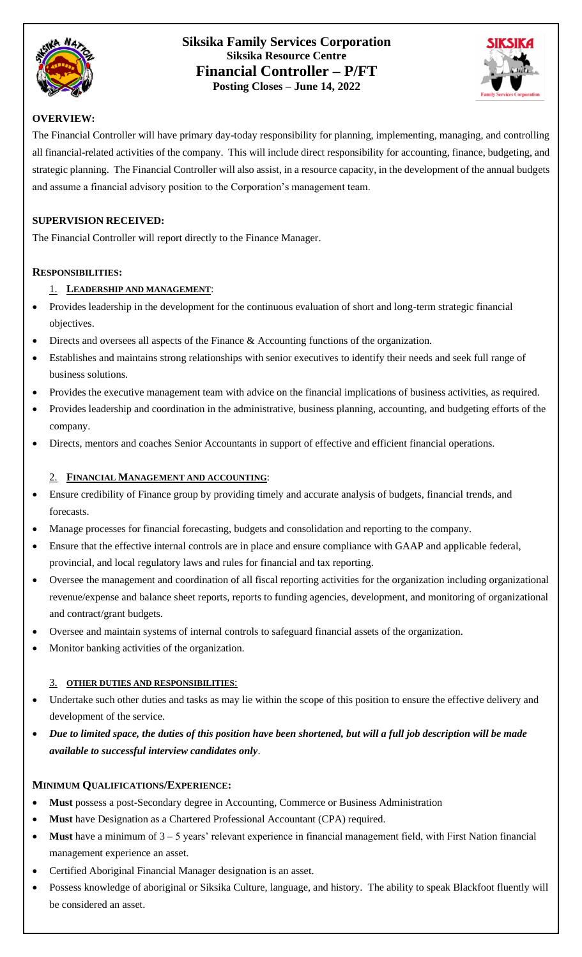

## **Siksika Family Services Corporation Siksika Resource Centre Financial Controller – P/FT Posting Closes – June 14, 2022**



## **OVERVIEW:**

The Financial Controller will have primary day-today responsibility for planning, implementing, managing, and controlling all financial-related activities of the company. This will include direct responsibility for accounting, finance, budgeting, and strategic planning. The Financial Controller will also assist, in a resource capacity, in the development of the annual budgets and assume a financial advisory position to the Corporation's management team.

## **SUPERVISION RECEIVED:**

The Financial Controller will report directly to the Finance Manager.

## **RESPONSIBILITIES:**

## 1. **LEADERSHIP AND MANAGEMENT**:

- Provides leadership in the development for the continuous evaluation of short and long-term strategic financial objectives.
- Directs and oversees all aspects of the Finance & Accounting functions of the organization.
- Establishes and maintains strong relationships with senior executives to identify their needs and seek full range of business solutions.
- Provides the executive management team with advice on the financial implications of business activities, as required.
- Provides leadership and coordination in the administrative, business planning, accounting, and budgeting efforts of the company.
- Directs, mentors and coaches Senior Accountants in support of effective and efficient financial operations.

## 2. **FINANCIAL MANAGEMENT AND ACCOUNTING**:

- Ensure credibility of Finance group by providing timely and accurate analysis of budgets, financial trends, and forecasts.
- Manage processes for financial forecasting, budgets and consolidation and reporting to the company.
- Ensure that the effective internal controls are in place and ensure compliance with GAAP and applicable federal, provincial, and local regulatory laws and rules for financial and tax reporting.
- Oversee the management and coordination of all fiscal reporting activities for the organization including organizational revenue/expense and balance sheet reports, reports to funding agencies, development, and monitoring of organizational and contract/grant budgets.
- Oversee and maintain systems of internal controls to safeguard financial assets of the organization.
- Monitor banking activities of the organization.

#### 3. **OTHER DUTIES AND RESPONSIBILITIES**:

- Undertake such other duties and tasks as may lie within the scope of this position to ensure the effective delivery and development of the service.
- *Due to limited space, the duties of this position have been shortened, but will a full job description will be made available to successful interview candidates only*.

#### **MINIMUM QUALIFICATIONS/EXPERIENCE:**

- **Must** possess a post-Secondary degree in Accounting, Commerce or Business Administration
- **Must** have Designation as a Chartered Professional Accountant (CPA) required.
- **Must** have a minimum of 3 5 years' relevant experience in financial management field, with First Nation financial management experience an asset.
- Certified Aboriginal Financial Manager designation is an asset.
- Possess knowledge of aboriginal or Siksika Culture, language, and history. The ability to speak Blackfoot fluently will be considered an asset.